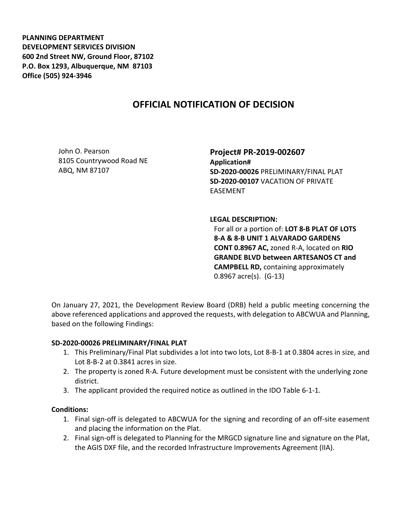**PLANNING DEPARTMENT DEVELOPMENT SERVICES DIVISION 600 2nd Street NW, Ground Floor, 87102 P.O. Box 1293, Albuquerque, NM 87103 Office (505) 924-3946** 

# **OFFICIAL NOTIFICATION OF DECISION**

John O. Pearson 8105 Countrywood Road NE ABQ, NM 87107

**Project# PR-2019-002607 Application# SD-2020-00026** PRELIMINARY/FINAL PLAT **SD-2020-00107** VACATION OF PRIVATE EASEMENT

#### **LEGAL DESCRIPTION:**

For all or a portion of: **LOT 8-B PLAT OF LOTS 8-A & 8-B UNIT 1 ALVARADO GARDENS CONT 0.8967 AC,** zoned R-A, located on **RIO GRANDE BLVD between ARTESANOS CT and CAMPBELL RD,** containing approximately 0.8967 acre(s). (G-13)

On January 27, 2021, the Development Review Board (DRB) held a public meeting concerning the above referenced applications and approved the requests, with delegation to ABCWUA and Planning, based on the following Findings:

### **SD-2020-00026 PRELIMINARY/FINAL PLAT**

- 1. This Preliminary/Final Plat subdivides a lot into two lots, Lot 8-B-1 at 0.3804 acres in size, and Lot 8-B-2 at 0.3841 acres in size.
- 2. The property is zoned R-A. Future development must be consistent with the underlying zone district.
- 3. The applicant provided the required notice as outlined in the IDO Table 6-1-1.

#### **Conditions:**

- 1. Final sign-off is delegated to ABCWUA for the signing and recording of an off-site easement and placing the information on the Plat.
- 2. Final sign-off is delegated to Planning for the MRGCD signature line and signature on the Plat, the AGIS DXF file, and the recorded Infrastructure Improvements Agreement (IIA).